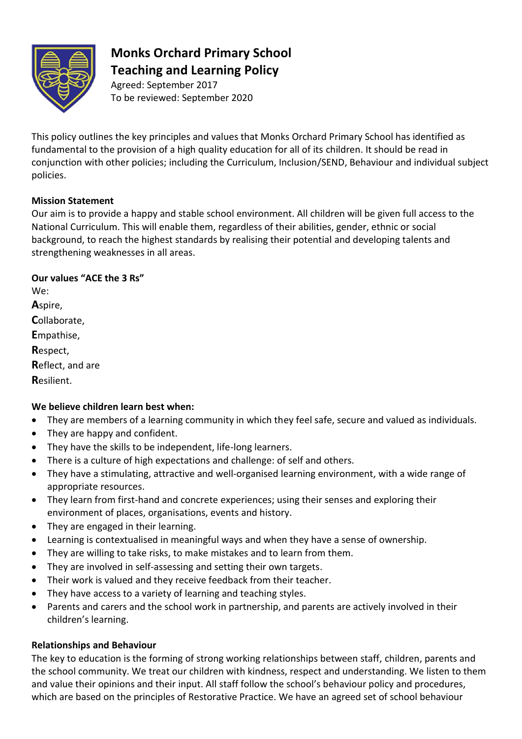

# **Monks Orchard Primary School Teaching and Learning Policy**

Agreed: September 2017 To be reviewed: September 2020

This policy outlines the key principles and values that Monks Orchard Primary School has identified as fundamental to the provision of a high quality education for all of its children. It should be read in conjunction with other policies; including the Curriculum, Inclusion/SEND, Behaviour and individual subject policies.

## **Mission Statement**

Our aim is to provide a happy and stable school environment. All children will be given full access to the National Curriculum. This will enable them, regardless of their abilities, gender, ethnic or social background, to reach the highest standards by realising their potential and developing talents and strengthening weaknesses in all areas.

**Our values "ACE the 3 Rs"**

We: **A**spire, **C**ollaborate, **E**mpathise, **R**espect, **R**eflect, and are **R**esilient.

# **We believe children learn best when:**

- They are members of a learning community in which they feel safe, secure and valued as individuals.
- They are happy and confident.
- They have the skills to be independent, life-long learners.
- There is a culture of high expectations and challenge: of self and others.
- They have a stimulating, attractive and well-organised learning environment, with a wide range of appropriate resources.
- They learn from first-hand and concrete experiences; using their senses and exploring their environment of places, organisations, events and history.
- They are engaged in their learning.
- Learning is contextualised in meaningful ways and when they have a sense of ownership.
- They are willing to take risks, to make mistakes and to learn from them.
- They are involved in self-assessing and setting their own targets.
- Their work is valued and they receive feedback from their teacher.
- They have access to a variety of learning and teaching styles.
- Parents and carers and the school work in partnership, and parents are actively involved in their children's learning.

# **Relationships and Behaviour**

The key to education is the forming of strong working relationships between staff, children, parents and the school community. We treat our children with kindness, respect and understanding. We listen to them and value their opinions and their input. All staff follow the school's behaviour policy and procedures, which are based on the principles of Restorative Practice. We have an agreed set of school behaviour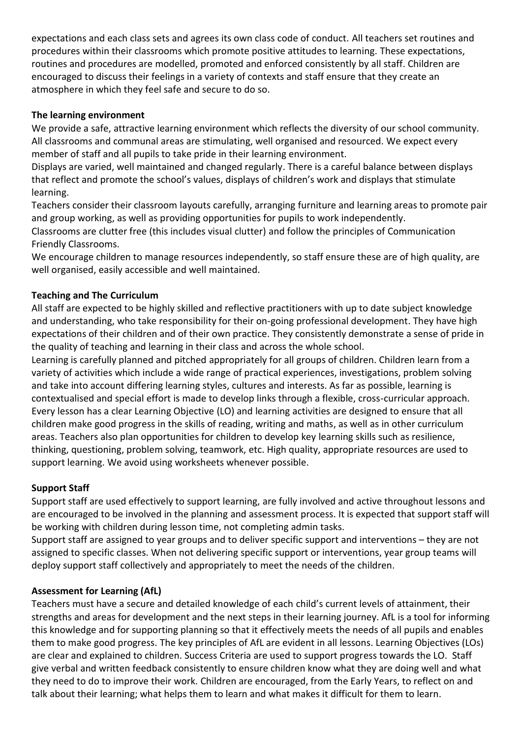expectations and each class sets and agrees its own class code of conduct. All teachers set routines and procedures within their classrooms which promote positive attitudes to learning. These expectations, routines and procedures are modelled, promoted and enforced consistently by all staff. Children are encouraged to discuss their feelings in a variety of contexts and staff ensure that they create an atmosphere in which they feel safe and secure to do so.

### **The learning environment**

We provide a safe, attractive learning environment which reflects the diversity of our school community. All classrooms and communal areas are stimulating, well organised and resourced. We expect every member of staff and all pupils to take pride in their learning environment.

Displays are varied, well maintained and changed regularly. There is a careful balance between displays that reflect and promote the school's values, displays of children's work and displays that stimulate learning.

Teachers consider their classroom layouts carefully, arranging furniture and learning areas to promote pair and group working, as well as providing opportunities for pupils to work independently.

Classrooms are clutter free (this includes visual clutter) and follow the principles of Communication Friendly Classrooms.

We encourage children to manage resources independently, so staff ensure these are of high quality, are well organised, easily accessible and well maintained.

#### **Teaching and The Curriculum**

All staff are expected to be highly skilled and reflective practitioners with up to date subject knowledge and understanding, who take responsibility for their on-going professional development. They have high expectations of their children and of their own practice. They consistently demonstrate a sense of pride in the quality of teaching and learning in their class and across the whole school.

Learning is carefully planned and pitched appropriately for all groups of children. Children learn from a variety of activities which include a wide range of practical experiences, investigations, problem solving and take into account differing learning styles, cultures and interests. As far as possible, learning is contextualised and special effort is made to develop links through a flexible, cross-curricular approach. Every lesson has a clear Learning Objective (LO) and learning activities are designed to ensure that all children make good progress in the skills of reading, writing and maths, as well as in other curriculum areas. Teachers also plan opportunities for children to develop key learning skills such as resilience, thinking, questioning, problem solving, teamwork, etc. High quality, appropriate resources are used to support learning. We avoid using worksheets whenever possible.

#### **Support Staff**

Support staff are used effectively to support learning, are fully involved and active throughout lessons and are encouraged to be involved in the planning and assessment process. It is expected that support staff will be working with children during lesson time, not completing admin tasks.

Support staff are assigned to year groups and to deliver specific support and interventions – they are not assigned to specific classes. When not delivering specific support or interventions, year group teams will deploy support staff collectively and appropriately to meet the needs of the children.

#### **Assessment for Learning (AfL)**

Teachers must have a secure and detailed knowledge of each child's current levels of attainment, their strengths and areas for development and the next steps in their learning journey. AfL is a tool for informing this knowledge and for supporting planning so that it effectively meets the needs of all pupils and enables them to make good progress. The key principles of AfL are evident in all lessons. Learning Objectives (LOs) are clear and explained to children. Success Criteria are used to support progress towards the LO. Staff give verbal and written feedback consistently to ensure children know what they are doing well and what they need to do to improve their work. Children are encouraged, from the Early Years, to reflect on and talk about their learning; what helps them to learn and what makes it difficult for them to learn.